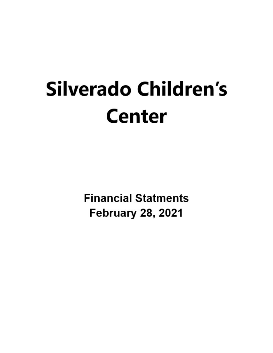# Silverado Children's **Center**

**Financial Statments February 28, 2021**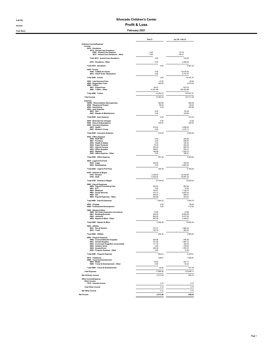## 8:06 PM

## 03/12/21 03/12/21

Cash Basis February 2021

|                                                                                                    | Feb 21                | Jul '20 - Feb 21        |
|----------------------------------------------------------------------------------------------------|-----------------------|-------------------------|
| Ordinary Income/Expense<br>Income<br>4010 · Donations                                              |                       |                         |
| 4012 - Animal Care Donations<br>6962 · Animal Care Expense<br>4012 · Animal Care Donations - Other | 0.00<br>0.00          | $-3275$<br>135.41       |
| Total 4012 · Animal Care Donations                                                                 | 0.00                  | 102.66                  |
| 4010 · Donations - Other                                                                           | 0.00                  | 2,458.36                |
| Total 4010 · Donations                                                                             | 0.00                  | 2,561.02                |
| 4040 · Grants<br>4046 · CARES Act Grant<br>4044 - CSCP Grant *Restrictive*                         | 0.00<br>0.00          | 10.675.00<br>3.772.47   |
| Total 4040 · Grants                                                                                | 0.00                  | 14,447.47               |
| 4050 · Late Payment Fees<br>4080 · Registration Fees<br>4090 · Tuition                             | $-10.00$<br>300.00    | $-40.00$<br>2,475.00    |
| 4091 · Paypal Fees<br>4090 · Tuition - Other                                                       | $-58.53$<br>14,351.86 | $-627.02$<br>108,454.89 |
| Total 4090 · Tuition                                                                               | 14,293.33             | 107,827.87              |
| <b>Total Income</b>                                                                                | 14,583.33             | 127,271.36              |
| Expense<br>66900 · Reconciliation Discrepancies<br>6969 · Playground Project                       | 384.89<br>86.04       | 384.89<br>86.04         |
| 6000 · Advertising<br>6020 · Auto Expense<br>$6022 \cdot Gas$                                      | 0.00<br>0.00          | 455.56<br>85 28         |
| 6025 · Repairs & Maintenance                                                                       | 0.00                  | 129.06                  |
| Total 6020 · Auto Expense                                                                          | 0.00                  | 214.34                  |
| 6050 · Bank Service Charges<br>6090 · Dues & Subscriptions<br>6200 · Insurance Expense             | 0.00<br>146.97        | 12.00<br>792.05         |
| 6203 · Health<br>6202 · Worker's Comp                                                              | 472.52<br>0.00        | 3,809.55<br>1,015.11    |
| Total 6200 · Insurance Expense                                                                     | 472.52                | 4,824.66                |
| 6550 · Office Expense<br>6958 · Staff Gift                                                         | 0.00                  | 405.66                  |
| 6957 · Furniture<br>6555 · Health & Safety                                                         | 0.00<br>0.00          | 208.97<br>184.32        |
| 6554 · Paper Products<br>6551 · Internet Access                                                    | 79.39<br>163.20       | 302.24<br>683.78        |
| 6552 · Office Supplies                                                                             | 188.97                | 553.31                  |
| 6553 · Website<br>6550 · Office Expense - Other                                                    | 169.99<br>0.00        | 1.025.73<br>186.91      |
| Total 6550 · Office Expense                                                                        | 601.55                | 3.550.92                |
| 6640 · Legal & Prof Fees<br>6642 · Legal<br>6644 · Bookkeeping                                     | 345.00<br>0.00        | 345.00<br>5,823.25      |
| Total 6640 · Legal & Prof Fees                                                                     | 345.00                | 6.168.25                |
| 6790 · Salaries & Wages<br>6793 · Director<br>$6792 \cdot$ Staff                                   | 4 342 00<br>6.402.62  | 33,430.68<br>45.897.34  |
| Total 6790 · Salaries & Wages                                                                      | 10.744.62             | 79,328.02               |
| 6800 · Payroll Expenses<br>6806 · Payroll Processing Fees                                          | 240.00                | 903.84                  |
| 6801 · ETT<br>6803 · Medicare                                                                      | 0.00<br>153.91        | 14.93<br>1,138.75       |
| 6804 · Social Security<br>6805 · SUI                                                               | 412.31<br>239.24      | 4.623.34<br>568.81      |
| 6800 · Payroll Expenses - Other                                                                    | 254.96                | 345.52                  |
| Total 6800 · Payroll Expenses                                                                      | 1.300.42              | 7,595.19                |
| 6820 · Postage<br>6840 · Professional Development                                                  | 0.00<br>0.00          | 95.60<br>$-110.00$      |
| 6900 · Repairs & Mtce<br>6908 · OC Parks Inspection Corrections                                    | 73.98                 | 73.98                   |
| 6901 · Building/Grounds<br>6905 · Janitorial                                                       | 555.48<br>800.00      | 6,852.02<br>6,917.63    |
| 6900 · Repairs & Mtce - Other                                                                      | 937.49                | 1,048.57                |
| Total 6900 · Repairs & Mtce<br>6940 · Utilities                                                    | 2.366.95              | 14,892.20               |
| 6941 · Gas & Electric<br>6943 · Trash                                                              | 331.51<br>120.79      | 1,982.62<br>983.30      |
| Total 6940 - Utilities                                                                             | 452.30                | 2.965.92                |
| 6950 · Program Expense<br>6956 · Consumables/Art Supplies                                          | 384.08                | 695.84                  |
| 6951 · Animal Supplies<br>6952 - Curriculum Supp/Non Consumable                                    | 151.38<br>111.19      | 1,497.37<br>184.32      |
| 6954 · Outdoor Items                                                                               | 0.00                  | 278.62                  |
| 6955 · Snacks/Food<br>6950 · Program Expense - Other                                               | 205.58<br>0.00        | 1.787.07<br>12.99       |
| Total 6950 · Program Expense                                                                       | 852.23                | 4,456.21                |
| 6970 · Telephone<br>6980 · Travel & Entertainment                                                  | 108.61                | 1,658.87                |
| 6983 · Meals<br>6980 · Travel & Entertainment - Other                                              | 34.82<br>0.00         | 407.17<br>30.22         |
| Total 6980 · Travel & Entertainment                                                                | 34.82                 | 437.39                  |
| <b>Total Expense</b>                                                                               | 17,896.92             | 127,808.11              |
| Net Ordinary Income                                                                                | $-3,313.59$           | $-536.75$               |
| Other Income/Expense<br>Other Income<br>7010 · Interest Income                                     | 0.10                  | 0.72                    |
| <b>Total Other Income</b>                                                                          | 0.10                  | 0.72                    |
| Net Other Income                                                                                   | 0.10                  | 0.72                    |
| Net Income                                                                                         | $-3,313.49$           | $-536.03$               |
|                                                                                                    |                       |                         |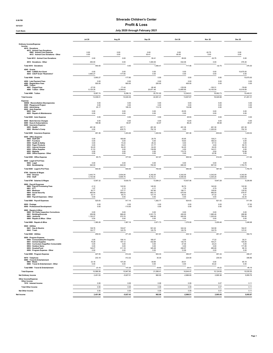## 8:08 PM

# 03/12/21 03/12/21

Jul 20 Aug 20 Sep 20 Oct 20 Nov 20 Dec 20

| <b>Cash Basis</b>                                                                                                                                           |               | July 2020 through February 2021 |               |  |
|-------------------------------------------------------------------------------------------------------------------------------------------------------------|---------------|---------------------------------|---------------|--|
|                                                                                                                                                             | <b>Jul 20</b> | Aug 20                          | Sep 20        |  |
| Ordinary Income/Expense<br>Income<br>4010 · Donations<br>4012 · Animal Care Donations<br>6962 · Animal Care Expense<br>4012 · Animal Care Donations - Other | 0.00<br>0.00  | 0.00<br>0.00                    | 0.00<br>50.41 |  |
| Total 4012 - Animal Care Donations                                                                                                                          | 0.00          | 0.00                            | 50.41         |  |
| 4010 · Donations - Other                                                                                                                                    | 450.00        | 0.00                            | 1.000.00      |  |
| Total 4010 · Donations                                                                                                                                      | 450.00        | 0.00                            | 1.05          |  |

| 4012 · Animal Care Donations<br>6962 · Animal Care Expense<br>4012 · Animal Care Donations - Other                        | 0.00<br>0.00          | 0.00<br>0.00           | 0.00<br>50.41          | 0.00<br>85.00          | $-32.75$<br>0.00       | 0.00<br>0.00          |
|---------------------------------------------------------------------------------------------------------------------------|-----------------------|------------------------|------------------------|------------------------|------------------------|-----------------------|
| Total 4012 · Animal Care Donations                                                                                        | 0.00                  | 0.00                   | 50.41                  | 85.00                  | $-32.75$               | 0.00                  |
| 4010 · Donations - Other                                                                                                  | 450.00                | 0.00                   | 1,000.00               | 632.06                 | 0.00                   | 376.30                |
| Total 4010 · Donations                                                                                                    | 450.00                | 0.00                   | 1,050.41               | 717.06                 | $-32.75$               | 376.30                |
| 4040 · Grants<br>4046 · CARES Act Grant                                                                                   | 0.00                  | 0.00                   | 0.00                   | 0.00                   | 0.00                   | 10,675.00             |
| 4044 · CSCP Grant *Restrictive*                                                                                           | 3,950.27              | $-177.80$              | 0.00                   | 0.00                   | 0.00                   | 0.00                  |
| Total 4040 · Grants                                                                                                       | 3,950.27              | $-177.80$              | 0.00                   | 0.00                   | 0.00                   | 10,675.00             |
| 4050 · Late Payment Fees<br>4080 · Registration Fees<br>4090 · Tuition                                                    | 0.00<br>550.00        | 0.00<br>900.00         | 0.00<br>250.00         | 0.00<br>400.00         | 0.00<br>0.00           | 0.00<br>0.00          |
| 4091 · Paypal Fees<br>4090 · Tuition - Other                                                                              | $-37.55$<br>8,125.29  | $-71.44$<br>9,369.63   | $-90.46$<br>20,871.46  | $-125.09$<br>12,665.90 | $-100.31$<br>18,163.04 | $-76.68$<br>10,516.69 |
| Total 4090 · Tuition                                                                                                      | 8,087.74              | 9.298.19               | 20,781.00              | 12.540.81              | 18,062.73              | 10,440.01             |
| <b>Total Income</b>                                                                                                       | 13,038.01             | 10,020.39              | 22,081.41              | 13,657.87              | 18,029.98              | 21,491.31             |
| Expense<br>66900 · Reconciliation Discrepancies<br>6969 · Playground Project<br>6000 · Advertising<br>6020 · Auto Expense | 0.00<br>0.00<br>25.17 | 0.00<br>0.00<br>185.33 | 0.00<br>0.00<br>112.18 | 0.00<br>0.00<br>132.88 | 0.00<br>0.00<br>0.00   | 0.00<br>0.00<br>0.00  |
| $6022 \cdot Gas$<br>6025 · Repairs & Maintenance                                                                          | 0.00<br>0.00          | 0.00<br>0.00           | 0.00<br>0.00           | 25.55<br>0.00          | 0.00<br>0.00           | 0.00<br>0.00          |
| Total 6020 · Auto Expense                                                                                                 | 0.00                  | 0.00                   | 0.00                   | 25.55                  | 0.00                   | 0.00                  |
| 6050 · Bank Service Charges                                                                                               | 0.00                  | 0.00                   | 0.00                   | 12.00                  | 0.00                   | 0.00                  |
| 6090 · Dues & Subscriptions<br>6200 · Insurance Expense<br>6203 · Health                                                  | 196.96<br>491.36      | 90.97<br>407.71        | 62.97<br>491.36        | 86.25<br>491.36        | 68.98<br>491.36        | 69.97<br>491.36       |
| 6202 · Worker's Comp                                                                                                      | 0.00                  | 835.75                 | 752.18                 | 0.00                   | $-1,325.00$            | 752.18                |
| Total 6200 · Insurance Expense                                                                                            | 491.36                | 1,243.46               | 1,243.54               | 491.36                 | $-833.64$              | 1,243.54              |
| 6550 · Office Expense<br>6958 · Staff Gift<br>6957 · Furniture                                                            | 0.00<br>0.00          | 180.68<br>0.00         | 29.79<br>0.00          | 45.95<br>19.64         | 138.21<br>189.33       | 11.03<br>0.00         |
| 6555 · Health & Safety<br>6554 · Paper Products                                                                           | 0.00<br>0.00          | 73.34<br>59.41         | 26.33<br>61.77         | 0.00<br>0.00           | 57.72<br>0.00          | 0.00<br>56.72         |
| 6551 · Internet Access<br>6552 · Office Supplies                                                                          | 64.20<br>21.53        | 64.20<br>0.00          | 64.20<br>139.58        | 64.20<br>0.00          | 64.20<br>142.21        | 64.20<br>0.00         |
| 6553 · Website<br>6550 · Office Expense - Other                                                                           | 0.00<br>0.00          | 0.00<br>0.00           | 0.00<br>0.00           | 775.75<br>0.00         | 0.00<br>22.36          | 79.99<br>0.00         |
| Total 6550 · Office Expense                                                                                               | 85.73                 | 377.63                 | 321.67                 | 905.54                 | 614.03                 | 211.94                |
| 6640 · Legal & Prof Fees                                                                                                  |                       |                        |                        |                        |                        |                       |
| 6642 · Legal<br>6644 · Bookkeeping                                                                                        | 0.00<br>540.00        | 0.00<br>640.00         | 0.00<br>700.00         | 0.00<br>680.00         | $0.00$<br>587.50       | 0.00<br>1,793.75      |
| Total 6640 · Legal & Prof Fees                                                                                            | 540.00                | 640.00                 | 700.00                 | 680.00                 | 587.50                 | 1,793.75              |
| 6790 · Salaries & Wages                                                                                                   |                       |                        |                        |                        |                        |                       |
| 6793 · Director<br>$6792 \cdot$ Staff                                                                                     | 3,443.74<br>3,153.58  | 3,934.94<br>5,695.76   | 4,342.00<br>8,742.21   | 4,342.00<br>6,595.06   | 4,342.00<br>5,305.28   | 4,342.00<br>4,884.89  |
| Total 6790 · Salaries & Wages                                                                                             | 6,597.32              | 9,630.70               | 13,084.21              | 10,937.06              | 9,647.28               | 9,226.89              |
| 6800 · Payroll Expenses                                                                                                   |                       |                        |                        |                        |                        |                       |
| 6806 · Payroll Processing Fees<br>$6801 \cdot ETT$                                                                        | $-3.12$<br>1.07       | 122.50<br>2.13         | 140.00<br>4.11         | 56.70<br>1.79          | 140.00<br>0.79         | 122.50<br>0.29        |
| 6803 · Medicare<br>6804 · Social Security                                                                                 | 93.77<br>400.94       | 137.77<br>589.03       | 187.80<br>803.12       | 156.71<br>670.00       | 138.00<br>590.05       | 135.52<br>579.47      |
| 6805 · SUI<br>6800 · Payroll Expenses - Other                                                                             | 33.17<br>0.00         | 65.73<br>0.00          | 127.74<br>0.00         | 39.43<br>0.00          | -47.32<br>0.00         | 6.41<br>$-32.35$      |
| Total 6800 · Payroll Expenses                                                                                             | 525.83                | 917.16                 | 1,262.77               | 924.63                 | 821.52                 | 811.84                |
| 6820 · Postage                                                                                                            | 0.00                  | 0.00                   | 0.00                   | 0.00                   | 0.00                   | 27.50                 |
| 6840 · Professional Development                                                                                           | 0.00                  | $-110.00$              | 0.00                   | 0.00                   | 0.00                   | 0.00                  |
| 6900 · Repairs & Mtce<br>6908 OC Parks Inspection Corrections<br>6901 · Building/Grounds                                  | 0.00<br>259.99        | 0.00<br>996.40         | 0.00<br>2,031.73       | 0.00<br>450.00         | 0.00<br>1,980.46       | 0.00<br>288.98        |
| 6905 · Janitorial                                                                                                         | 1,120.27              | 570.76                 | 640.00                 | 920.00                 | 1.220.00               | 760.00                |
| 6900 · Repairs & Mtce - Other<br>Total 6900 · Repairs & Mtce                                                              | 0.00<br>1,380.26      | 0.00<br>1,567.16       | 0.00<br>2,671.73       | 0.00<br>1,370.00       | 0.00<br>3,200.46       | 0.00<br>1,048.98      |
| 6940 · Utilities                                                                                                          |                       |                        |                        |                        |                        |                       |
| 6941 · Gas & Electric<br>$6943 \cdot$ Trash                                                                               | 138.76<br>120.77      | 150.67<br>120.78       | 501.02<br>120.79       | 322.34<br>120.78       | 140.58<br>120.79       | 164.91<br>137.81      |
| Total 6940 · Utilities                                                                                                    | 259.53                | 271.45                 | 621.81                 | 443.12                 | 261.37                 | 302.72                |
| 6950 · Program Expense                                                                                                    |                       |                        |                        |                        |                        |                       |
| 6956 Consumables/Art Supplies<br>6951 · Animal Supplies                                                                   | 0.00<br>79.28         | 106.14<br>197.12       | 185.07<br>432.98       | 0.00<br>135.75         | 17.22<br>164.21        | 30.21<br>105.05       |
| 6952 · Curriculum Supp/Non Consumable<br>6954 · Outdoor Items                                                             | 0.00<br>0.00          | 0.00<br>0.00           | 0.00<br>0.00           | 27.36<br>0.00          | 24 23<br>0.00          | 0.00<br>171.95        |
| 6955 · Snacks/Food<br>6950 · Program Expense                                                                              | 148.27<br>u.uu        | 311.18<br>u.uu         | 325.28<br>u.uu         | 206.97<br>12.95        | 285.68<br>0.00         | 99.16<br>0.00         |
| Total 6950 · Program Expense                                                                                              | 227.55                | 614.44                 | 943.33                 | 383.07                 | 491.34                 | 406.37                |
| 6970 · Telephone                                                                                                          | 233.19                | 412.32                 | 35.30                  | 224.00                 | 235.54                 | 306.86                |
| 6980 · Travel & Entertainment<br>$6983 \cdot$ Meals<br>6980 · Travel & Entertainment - Other                              | 23.18<br>0.00         | 107.28<br>0.00         | 39.90<br>0.00          | 29.01<br>0.00          | 0.00<br>30.22          | 85.19<br>0.00         |
| Total 6980 · Travel & Entertainment                                                                                       | 23.18                 | 107.28                 | 39.90                  | 29.01                  | 30.22                  | 85.19                 |
| <b>Total Expense</b>                                                                                                      | 10,586.08             | 15,947.90              | 21,099.41              | 16,644.47              | 15,124.60              | 15,535.55             |
| Net Ordinary Income                                                                                                       | 2,451.93              | $-5,927.51$            | 982.00                 | $-2,986.60$            | 2,905.38               | 5,955.76              |
| Other Income/Expense                                                                                                      |                       |                        |                        |                        |                        |                       |
| Other Income<br>7010 · Interest Income                                                                                    | 0.06                  | 0.08                   | 0.08                   | 0.09                   | 0.07                   | 0.11                  |
| <b>Total Other Income</b>                                                                                                 | 0.06                  | 0.08                   | 0.08                   | 0.09                   | 0.07                   | 0.11                  |
| <b>Net Other Income</b>                                                                                                   | 0.06                  | 0.08                   | 0.08                   | 0.09                   | 0.07                   | 0.11                  |
| Net Income                                                                                                                | 2,451.99              | $-5,927.43$            | 982.08                 | $-2,986.51$            | 2,905.45               | 5,955.87              |
|                                                                                                                           |                       |                        |                        |                        |                        |                       |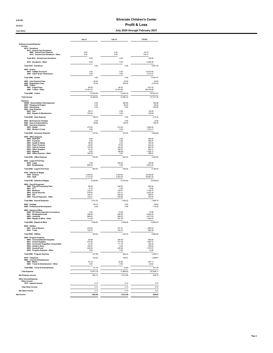#### 8:08 PM 03/12/21 Profit & Loss

## Cash Basis July 2020 through February 2021

Jan 21 **Feb 21** TOTAL

|                                                                                       | Jan 21       |        | Feb 21 |               | TOTAL                 |
|---------------------------------------------------------------------------------------|--------------|--------|--------|---------------|-----------------------|
| Ordinary Income/Expense<br>Income<br>4010 · Donations<br>4012 - Animal Care Donations |              |        |        |               |                       |
| 6962 · Animal Care Expense                                                            | 0.00         |        | 0.00   |               | $-32.75$              |
| 4012 · Animal Care Donations - Other                                                  | 0.00         |        | 0.00   |               | 135.41                |
| Total 4012 - Animal Care Donations                                                    | 0.00         |        |        | 0.00          | 102.66                |
| 4010 · Donations - Other                                                              | 0.00         |        |        | 0.00          | 2.458.36              |
| Total 4010 · Donations                                                                |              | 0.00   |        | 0.00          | 2.561.02              |
| $4040 \cdot$ Grants<br>4046 - CARES Act Grant<br>4044 · CSCP Grant *Restrictive*      | 0.00<br>0.00 |        |        | 0.00<br>0.00  | 10.675.00<br>3.772.47 |
| Total 4040 · Grants                                                                   |              | 0.00   |        | 0.00          | 14.447.47             |
|                                                                                       |              | 0.0.00 |        | $\sim$ $\sim$ | $\sim$                |

| 4046 · CARES Act Grant<br>4044 · CSCP Grant *Restrictive*         | 0.00<br>0.00         | 0.00<br>0.00          | 10.675.00<br>3.772.47   |
|-------------------------------------------------------------------|----------------------|-----------------------|-------------------------|
| Total 4040 · Grants                                               | 0.00                 | 0.00                  | 14.447.47               |
| 4050 · Late Payment Fees                                          | $-30.00$             | $-10.00$              | $-40.00$                |
| 4080 · Registration Fees<br>4090 · Tuition                        | 75.00                | 300.00                | 2,475.00                |
| 4091 · Paypal Fees<br>4090 · Tuition - Other                      | -66.96<br>14,391.02  | $-58.53$<br>14,351.86 | $-627.02$<br>108,454.89 |
| Total 4090 · Tuition                                              | 14,324.06            | 14,293.33             | 107,827.87              |
| <b>Total Income</b>                                               | 14,369.06            | 14,583.33             | 127,271.36              |
| Expense                                                           |                      |                       |                         |
| 66900 · Reconciliation Discrepancies<br>6969 · Playground Project | 0.00<br>0.00         | 384.89<br>86.04       | 384.89<br>86.04         |
| 6000 · Advertising<br>6020 · Auto Expense                         | 0.00                 | 0.00                  | 455.56                  |
| $6022 \cdot Gas$                                                  | 59.73                | 0.00                  | 85.28                   |
| 6025 · Repairs & Maintenance                                      | 129.06<br>188.79     | 0.00<br>0.00          | 129.06<br>214.34        |
| Total 6020 · Auto Expense<br>6050 · Bank Service Charges          | 0.00                 | 0.00                  | 1200                    |
| 6090 · Dues & Subscriptions                                       | 68.98                | 146.97                | 792.05                  |
| 6200 · Insurance Expense<br>6203 · Health                         | 472.52               | 472.52                | 3,809.55                |
| 6202 · Worker's Comp                                              | 0.00                 | 0.00                  | 1.015.11                |
| Total 6200 · Insurance Expense                                    | 472.52               | 472.52                | 4,824.66                |
| 6550 · Office Expense<br>6958 · Staff Gift                        | 0.00                 | 0.00                  | 405.66                  |
| 6957 · Furniture<br>6555 · Health & Safety                        | 0.00<br>26.93        | 0.00<br>0.00          | 208.97<br>184.32        |
| 6554 · Paper Products                                             | 44 95                | 79.39                 | 302.24                  |
| 6551 · Internet Access<br>6552 - Office Supplies                  | 135.38<br>61.02      | 163.20<br>188.97      | 683.78<br>553.31        |
| 6553 · Website<br>6550 · Office Expense - Other                   | 0.00<br>164.55       | 169.99<br>0.00        | 1,025.73<br>186 91      |
| Total 6550 · Office Expense                                       | 43283                | 601.55                | 3.550.92                |
| 6640 · Legal & Prof Fees                                          |                      |                       |                         |
| 6642 · Legal<br>6644 · Bookkeeping                                | 0.00<br>882.00       | 345.00<br>0.00        | 345.00<br>5,823.25      |
| Total 6640 · Legal & Prof Fees                                    | 882.00               | 345.00                | 6,168.25                |
| 6790 · Salaries & Wages                                           |                      |                       |                         |
| 6793 · Director<br>6792 · Staff                                   | 4 342 00<br>5.117.94 | 4 342 00<br>6.402.62  | 33 430 68<br>45.897.34  |
| Total 6790 · Salaries & Wages                                     | 9,459.94             | 10,744.62             | 79,328.02               |
| 6800 · Payroll Expenses                                           |                      |                       |                         |
| 6806 Payroll Processing Fees<br>6801 · ETT                        | 85.26<br>4.75        | 240.00<br>0.00        | 903.84<br>14.93         |
| 6803 · Medicare                                                   | 135 27               | 153 91                | 1 138 75                |
| 6804 · Social Security<br>6805 · SUI                              | 578.42<br>104.41     | 412.31<br>239.24      | 4.623.34<br>568.81      |
| 6800 · Payroll Expenses - Other                                   | 122.91               | 254.96                | 345.52                  |
| Total 6800 · Payroll Expenses                                     | 1,031.02             | 1,300.42              | 7,595.19                |
| 6820 · Postage<br>6840 · Professional Development                 | 68 10<br>0.00        | 0.00<br>0.00          | 95.60<br>$-110.00$      |
| 6900 · Repairs & Mtce<br>6908 · OC Parks Inspection Corrections   |                      |                       |                         |
| 6901 · Building/Grounds                                           | 0.00<br>288.98       | 73.98<br>555.48       | 73.98<br>6,852.02       |
| 6905 · Janitorial<br>6900 · Repairs & Mtce - Other                | 886.60<br>111.08     | 800.00<br>937 49      | 6.917.63<br>1.048.57    |
| Total 6900 · Repairs & Mtce                                       | 1.286.66             | 2.366.95              | 14.892.20               |
| 6940 · Utilities                                                  |                      |                       |                         |
| 6941 · Gas & Electric<br>$6943 \cdot$ Trash                       | 232.83<br>120.79     | 331.51<br>120.79      | 1,982.62<br>983.30      |
| Total 6940 · Utilities                                            | 353.62               | 452.30                | 2,965.92                |
| 6950 · Program Expense                                            |                      |                       |                         |
| 6956 · Consumables/Art Supplies<br>6951 - Animal Supplies         | $-26.88$<br>231.60   | 384.08<br>151.38      | 69584<br>1,497.37       |
| 6952 · Curriculum Supp/Non Consumable<br>6954 · Outdoor Items     | 21.54<br>106.67      | 111.19<br>0.00        | 184.32<br>278.62        |
| 6955 · Snacks/Food<br>6950 · Program Expense - Other              | 204.95<br>0.00       | 205.58<br>0.00        | 1.787.07<br>12.99       |
| Total 6950 · Program Expense                                      | 537.88               | 852.23                | 4.456.21                |
| 6970 · Telephone                                                  | 103.05               | 108.61                | 1,658.87                |
| 6980 · Travel & Entertainment<br>$6983 \cdot \text{Maals}$        | 8779                 | 34 82                 | 407 17                  |
| 6980 · Travel & Entertainment - Other                             | 0.00                 | 0.00                  | 30.22                   |
| Total 6980 · Travel & Entertainment                               | 87.79                | 34.82                 | 437.39                  |
| <b>Total Expense</b>                                              | 14.973.18            | 17,896.92             | 127,808.11              |
| <b>Net Ordinary Income</b>                                        | $-604.12$            | $-3,313.59$           | $-536.75$               |
| Other Income/Expense<br>Other Income                              |                      |                       |                         |
| 7010 · Interest Income                                            | 0.13                 | 0.10                  | 0.72                    |
| <b>Total Other Income</b>                                         | 0.13                 | 0.10                  | 0.72                    |
| <b>Net Other Income</b>                                           | 0.13                 | 0.10                  | 0.72                    |
| Net Income                                                        | <b>PP FOR</b>        | $-3.313.49$           | $-536.03$               |
|                                                                   |                      |                       |                         |